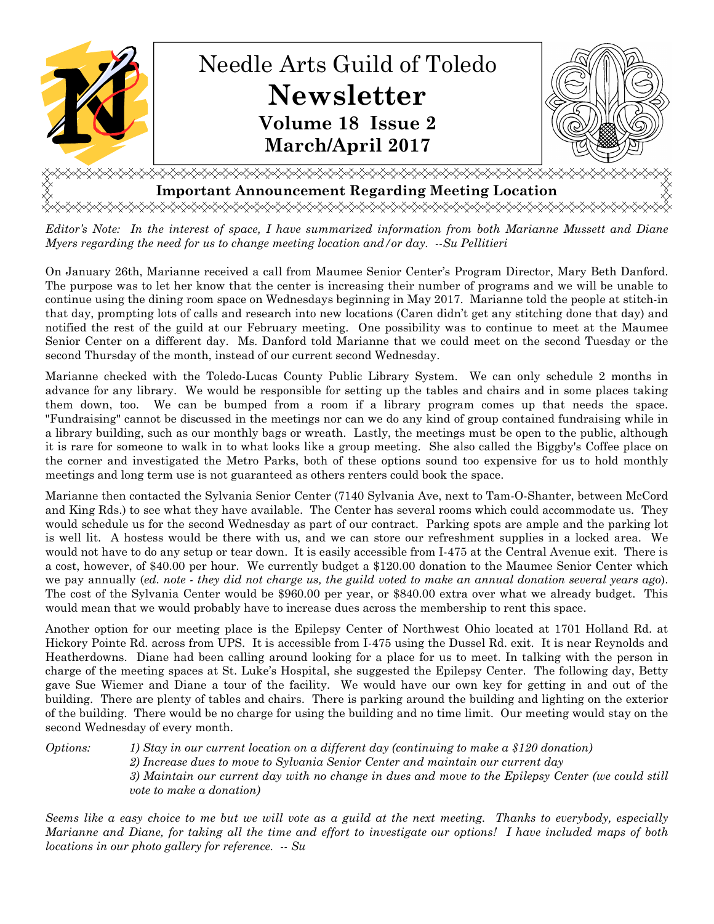

*Editor's Note: In the interest of space, I have summarized information from both Marianne Mussett and Diane Myers regarding the need for us to change meeting location and/or day. --Su Pellitieri*

On January 26th, Marianne received a call from Maumee Senior Center's Program Director, Mary Beth Danford. The purpose was to let her know that the center is increasing their number of programs and we will be unable to continue using the dining room space on Wednesdays beginning in May 2017. Marianne told the people at stitch-in that day, prompting lots of calls and research into new locations (Caren didn't get any stitching done that day) and notified the rest of the guild at our February meeting. One possibility was to continue to meet at the Maumee Senior Center on a different day. Ms. Danford told Marianne that we could meet on the second Tuesday or the second Thursday of the month, instead of our current second Wednesday.

Marianne checked with the Toledo-Lucas County Public Library System. We can only schedule 2 months in advance for any library. We would be responsible for setting up the tables and chairs and in some places taking them down, too. We can be bumped from a room if a library program comes up that needs the space. "Fundraising" cannot be discussed in the meetings nor can we do any kind of group contained fundraising while in a library building, such as our monthly bags or wreath. Lastly, the meetings must be open to the public, although it is rare for someone to walk in to what looks like a group meeting. She also called the Biggby's Coffee place on the corner and investigated the Metro Parks, both of these options sound too expensive for us to hold monthly meetings and long term use is not guaranteed as others renters could book the space.

Marianne then contacted the Sylvania Senior Center (7140 Sylvania Ave, next to Tam-O-Shanter, between McCord and King Rds.) to see what they have available. The Center has several rooms which could accommodate us. They would schedule us for the second Wednesday as part of our contract. Parking spots are ample and the parking lot is well lit. A hostess would be there with us, and we can store our refreshment supplies in a locked area. We would not have to do any setup or tear down. It is easily accessible from I-475 at the Central Avenue exit. There is a cost, however, of \$40.00 per hour. We currently budget a \$120.00 donation to the Maumee Senior Center which we pay annually (*ed. note - they did not charge us, the guild voted to make an annual donation several years ago*). The cost of the Sylvania Center would be \$960.00 per year, or \$840.00 extra over what we already budget. This would mean that we would probably have to increase dues across the membership to rent this space.

Another option for our meeting place is the Epilepsy Center of Northwest Ohio located at 1701 Holland Rd. at Hickory Pointe Rd. across from UPS. It is accessible from I-475 using the Dussel Rd. exit. It is near Reynolds and Heatherdowns. Diane had been calling around looking for a place for us to meet. In talking with the person in charge of the meeting spaces at St. Luke's Hospital, she suggested the Epilepsy Center. The following day, Betty gave Sue Wiemer and Diane a tour of the facility. We would have our own key for getting in and out of the building. There are plenty of tables and chairs. There is parking around the building and lighting on the exterior of the building. There would be no charge for using the building and no time limit. Our meeting would stay on the second Wednesday of every month.

*Options: 1) Stay in our current location on a different day (continuing to make a \$120 donation) 2) Increase dues to move to Sylvania Senior Center and maintain our current day 3) Maintain our current day with no change in dues and move to the Epilepsy Center (we could still vote to make a donation)* 

*Seems like a easy choice to me but we will vote as a guild at the next meeting. Thanks to everybody, especially Marianne and Diane, for taking all the time and effort to investigate our options! I have included maps of both locations in our photo gallery for reference. -- Su*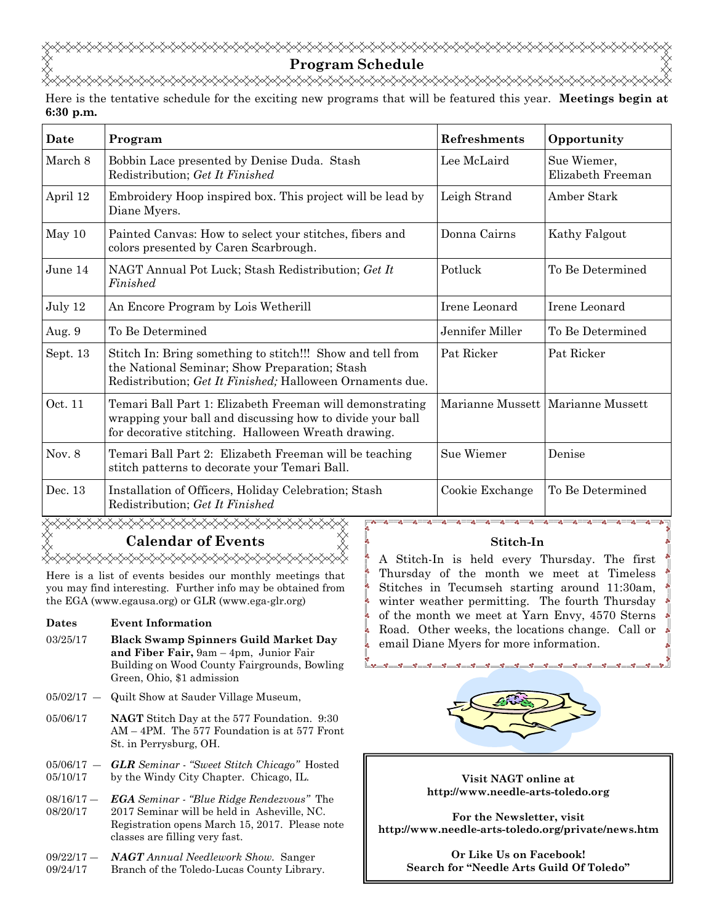**Program Schedule**  <del></del>

Here is the tentative schedule for the exciting new programs that will be featured this year. **Meetings begin at 6:30 p.m.**

| Date     | Program                                                                                                                                                                      | Refreshments    | Opportunity                         |
|----------|------------------------------------------------------------------------------------------------------------------------------------------------------------------------------|-----------------|-------------------------------------|
| March 8  | Bobbin Lace presented by Denise Duda. Stash<br>Redistribution; Get It Finished                                                                                               | Lee McLaird     | Sue Wiemer,<br>Elizabeth Freeman    |
| April 12 | Embroidery Hoop inspired box. This project will be lead by<br>Diane Myers.                                                                                                   | Leigh Strand    | Amber Stark                         |
| May 10   | Painted Canvas: How to select your stitches, fibers and<br>colors presented by Caren Scarbrough.                                                                             | Donna Cairns    | Kathy Falgout                       |
| June 14  | NAGT Annual Pot Luck; Stash Redistribution; Get It<br>Finished                                                                                                               | Potluck         | To Be Determined                    |
| July 12  | An Encore Program by Lois Wetherill                                                                                                                                          | Irene Leonard   | Irene Leonard                       |
| Aug. 9   | To Be Determined                                                                                                                                                             | Jennifer Miller | To Be Determined                    |
| Sept. 13 | Stitch In: Bring something to stitch!!! Show and tell from<br>the National Seminar; Show Preparation; Stash<br>Redistribution; Get It Finished; Halloween Ornaments due.     | Pat Ricker      | Pat Ricker                          |
| Oct. 11  | Temari Ball Part 1: Elizabeth Freeman will demonstrating<br>wrapping your ball and discussing how to divide your ball<br>for decorative stitching. Halloween Wreath drawing. |                 | Marianne Mussett   Marianne Mussett |
| Nov. 8   | Temari Ball Part 2: Elizabeth Freeman will be teaching<br>stitch patterns to decorate your Temari Ball.                                                                      | Sue Wiemer      | Denise                              |
| Dec. 13  | Installation of Officers, Holiday Celebration; Stash<br>Redistribution; Get It Finished                                                                                      | Cookie Exchange | To Be Determined                    |

# ◇◇◇◇◇◇◇◇◇◇◇◇◇◇◇◇◇◇◇◇◇◇◇ **Calendar of Events**  <del></del>

Here is a list of events besides our monthly meetings that you may find interesting. Further info may be obtained from the EGA (www.egausa.org) or GLR (www.ega-glr.org)

#### **Dates Event Information**

- 03/25/17 **Black Swamp Spinners Guild Market Day and Fiber Fair,** 9am – 4pm, Junior Fair Building on Wood County Fairgrounds, Bowling Green, Ohio, \$1 admission
- 05/02/17 ― Quilt Show at Sauder Village Museum,
- 05/06/17 **NAGT** Stitch Day at the 577 Foundation. 9:30 AM – 4PM. The 577 Foundation is at 577 Front St. in Perrysburg, OH.
- 05/06/17 ― 05/10/17 *GLR Seminar* - *"Sweet Stitch Chicago"* Hosted by the Windy City Chapter. Chicago, IL.
- 08/16/17 ― 08/20/17 *EGA Seminar - "Blue Ridge Rendezvous"* The 2017 Seminar will be held in Asheville, NC. Registration opens March 15, 2017. Please note classes are filling very fast.
- $09/22/17 -$ 09/24/17 *NAGT Annual Needlework Show.* Sanger Branch of the Toledo-Lucas County Library.

# **Stitch-In**

A Stitch-In is held every Thursday. The first Thursday of the month we meet at Timeless Stitches in Tecumseh starting around 11:30am, winter weather permitting. The fourth Thursday of the month we meet at Yarn Envy, 4570 Sterns Road. Other weeks, the locations change. Call or email Diane Myers for more information.



**Visit NAGT online at http://www.needle-arts-toledo.org** 

**For the Newsletter, visit http://www.needle-arts-toledo.org/private/news.htm** 

> **Or Like Us on Facebook! Search for "Needle Arts Guild Of Toledo"**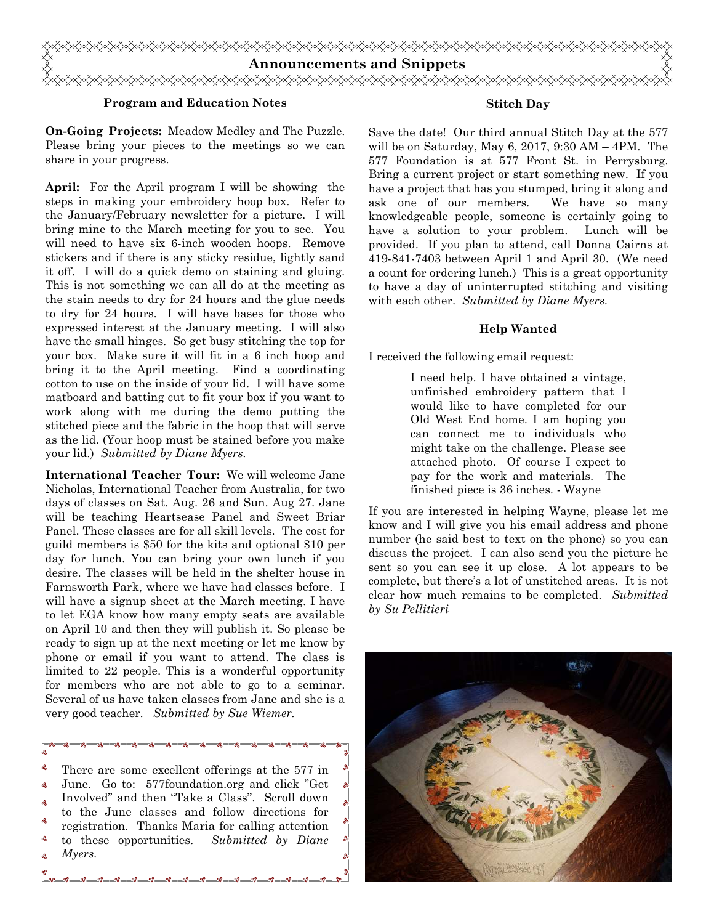

#### **Program and Education Notes**

**On-Going Projects:** Meadow Medley and The Puzzle. Please bring your pieces to the meetings so we can share in your progress.

**April:** For the April program I will be showing the steps in making your embroidery hoop box. Refer to the January/February newsletter for a picture. I will bring mine to the March meeting for you to see. You will need to have six 6-inch wooden hoops. Remove stickers and if there is any sticky residue, lightly sand it off. I will do a quick demo on staining and gluing. This is not something we can all do at the meeting as the stain needs to dry for 24 hours and the glue needs to dry for 24 hours. I will have bases for those who expressed interest at the January meeting. I will also have the small hinges. So get busy stitching the top for your box. Make sure it will fit in a 6 inch hoop and bring it to the April meeting. Find a coordinating cotton to use on the inside of your lid. I will have some matboard and batting cut to fit your box if you want to work along with me during the demo putting the stitched piece and the fabric in the hoop that will serve as the lid. (Your hoop must be stained before you make your lid.) *Submitted by Diane Myers.* 

**International Teacher Tour:** We will welcome Jane Nicholas, International Teacher from Australia, for two days of classes on Sat. Aug. 26 and Sun. Aug 27. Jane will be teaching Heartsease Panel and Sweet Briar Panel. These classes are for all skill levels. The cost for guild members is \$50 for the kits and optional \$10 per day for lunch. You can bring your own lunch if you desire. The classes will be held in the shelter house in Farnsworth Park, where we have had classes before. I will have a signup sheet at the March meeting. I have to let EGA know how many empty seats are available on April 10 and then they will publish it. So please be ready to sign up at the next meeting or let me know by phone or email if you want to attend. The class is limited to 22 people. This is a wonderful opportunity for members who are not able to go to a seminar. Several of us have taken classes from Jane and she is a very good teacher. *Submitted by Sue Wiemer.*

There are some excellent offerings at the 577 in June. Go to: 577foundation.org and click "Get Involved" and then "Take a Class". Scroll down to the June classes and follow directions for registration. Thanks Maria for calling attention to these opportunities. *Submitted by Diane Myers.*

<u>. - ႏွစ္ ေ ႏွစ္ ေ ႏွစ္</u>

 $-0.0$ 

#### **Stitch Day**

Save the date! Our third annual Stitch Day at the 577 will be on Saturday, May 6, 2017, 9:30 AM – 4PM. The 577 Foundation is at 577 Front St. in Perrysburg. Bring a current project or start something new. If you have a project that has you stumped, bring it along and ask one of our members. We have so many knowledgeable people, someone is certainly going to have a solution to your problem. Lunch will be provided. If you plan to attend, call Donna Cairns at 419-841-7403 between April 1 and April 30. (We need a count for ordering lunch.) This is a great opportunity to have a day of uninterrupted stitching and visiting with each other. *Submitted by Diane Myers.* 

#### **Help Wanted**

I received the following email request:

I need help. I have obtained a vintage, unfinished embroidery pattern that I would like to have completed for our Old West End home. I am hoping you can connect me to individuals who might take on the challenge. Please see attached photo. Of course I expect to pay for the work and materials. The finished piece is 36 inches. - Wayne

If you are interested in helping Wayne, please let me know and I will give you his email address and phone number (he said best to text on the phone) so you can discuss the project. I can also send you the picture he sent so you can see it up close. A lot appears to be complete, but there's a lot of unstitched areas. It is not clear how much remains to be completed. *Submitted by Su Pellitieri*

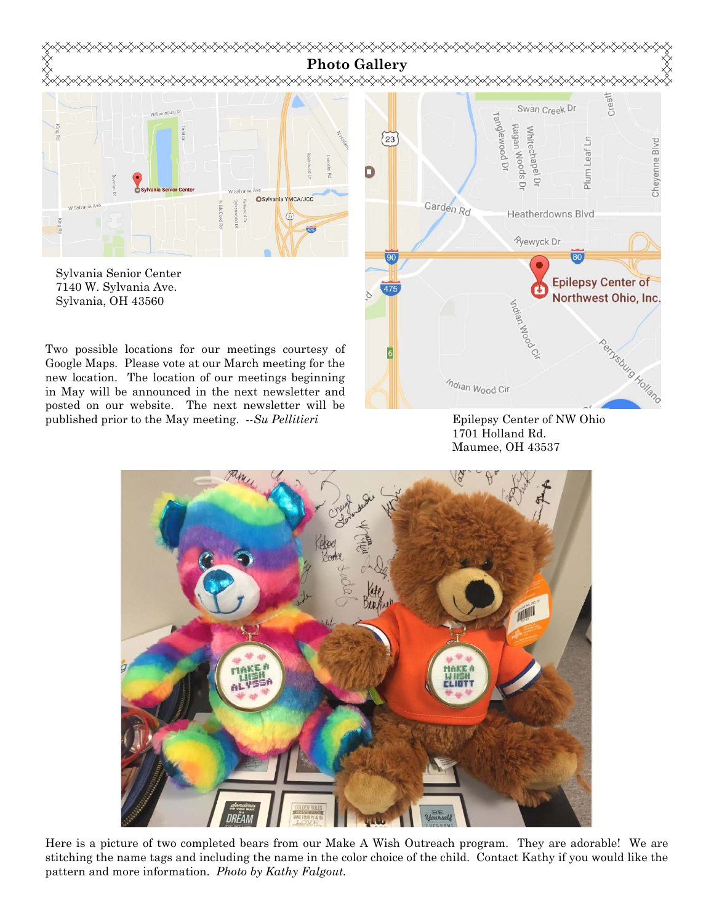

7140 W. Sylvania Ave. Sylvania, OH 43560

Two possible locations for our meetings courtesy of Google Maps. Please vote at our March meeting for the new location. The location of our meetings beginning in May will be announced in the next newsletter and posted on our website. The next newsletter will be published prior to the May meeting. --*Su Pellitieri* 

**Epilepsy Center of** Northwest Ohio, Inc. Adjan Wood nemetropical and  $\eta$ dian Wood Cir

Epilepsy Center of NW Ohio 1701 Holland Rd. Maumee, OH 43537



Here is a picture of two completed bears from our Make A Wish Outreach program. They are adorable! We are stitching the name tags and including the name in the color choice of the child. Contact Kathy if you would like the pattern and more information. *Photo by Kathy Falgout.*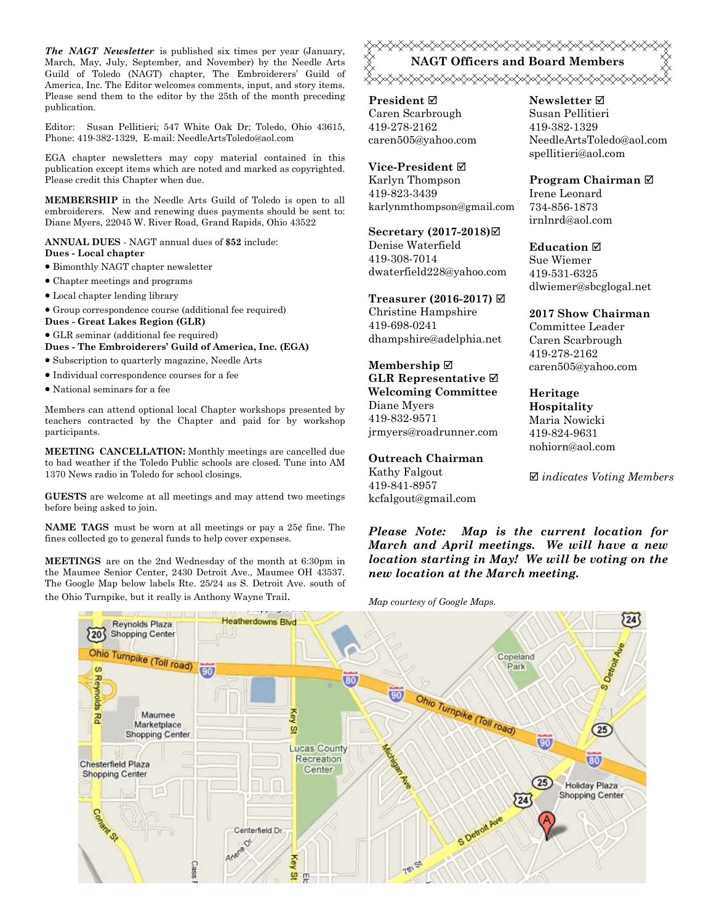*The NAGT Newsletter* is published six times per year (January, March, May, July, September, and November) by the Needle Arts Guild of Toledo (NAGT) chapter, The Embroiderers' Guild of America, Inc. The Editor welcomes comments, input, and story items. Please send them to the editor by the 25th of the month preceding publication.

Editor: Susan Pellitieri; 547 White Oak Dr; Toledo, Ohio 43615, Phone: 419-382-1329, E-mail: NeedleArtsToledo@aol.com

EGA chapter newsletters may copy material contained in this publication except items which are noted and marked as copyrighted. Please credit this Chapter when due.

**MEMBERSHIP** in the Needle Arts Guild of Toledo is open to all embroiderers. New and renewing dues payments should be sent to: Diane Myers, 22045 W. River Road, Grand Rapids, Ohio 43522

**ANNUAL DUES** - NAGT annual dues of **\$52** include: **Dues - Local chapter** 

- Bimonthly NAGT chapter newsletter
- Chapter meetings and programs
- Local chapter lending library
- Group correspondence course (additional fee required)
- **Dues Great Lakes Region (GLR)**
- GLR seminar (additional fee required) **Dues - The Embroiderers' Guild of America, Inc. (EGA)**
- Subscription to quarterly magazine, Needle Arts
- Individual correspondence courses for a fee
- National seminars for a fee

Members can attend optional local Chapter workshops presented by teachers contracted by the Chapter and paid for by workshop participants.

**MEETING CANCELLATION:** Monthly meetings are cancelled due to bad weather if the Toledo Public schools are closed. Tune into AM 1370 News radio in Toledo for school closings.

**GUESTS** are welcome at all meetings and may attend two meetings before being asked to join.

**NAME TAGS** must be worn at all meetings or pay a 25¢ fine. The fines collected go to general funds to help cover expenses.

**MEETINGS** are on the 2nd Wednesday of the month at 6:30pm in the Maumee Senior Center, 2430 Detroit Ave., Maumee OH 43537. The Google Map below labels Rte. 25/24 as S. Detroit Ave. south of the Ohio Turnpike, but it really is Anthony Wayne Trail. *Map courtesy of Google Maps.* 

<del></del> **NAGT Officers and Board Members ⋌⋋⋋⋌⋋⋋⋌⋋⋌⋋⋌⋋⋋⋌⋋⋌⋋⋋⋌⋋⋌⋋**⋌⋌⋋⋌⋋⋌⋋⋌⋋⋌⋋

**President** Caren Scarbrough 419-278-2162 caren505@yahoo.com

**Vice-President** Karlyn Thompson 419-823-3439 karlynmthompson@gmail.com

**Secretary (2017-2018)** Denise Waterfield 419-308-7014 dwaterfield228@yahoo.com

**Treasurer (2016-2017)** 

Christine Hampshire 419-698-0241 dhampshire@adelphia.net

**Membership GLR Representative Welcoming Committee**  Diane Myers 419-832-9571 jrmyers@roadrunner.com

#### **Outreach Chairman**

Kathy Falgout 419-841-8957 kcfalgout@gmail.com **Newsletter**  Susan Pellitieri 419-382-1329 NeedleArtsToledo@aol.com spellitieri@aol.com

**Program Chairman** 

Irene Leonard 734-856-1873 irnlnrd@aol.com

**Education**  Sue Wiemer 419-531-6325 dlwiemer@sbcglogal.net

**2017 Show Chairman**  Committee Leader

Caren Scarbrough 419-278-2162 caren505@yahoo.com

**Heritage Hospitality**  Maria Nowicki 419-824-9631 nohiorn@aol.com

*indicates Voting Members* 

*Please Note: Map is the current location for March and April meetings. We will have a new location starting in May! We will be voting on the new location at the March meeting.*